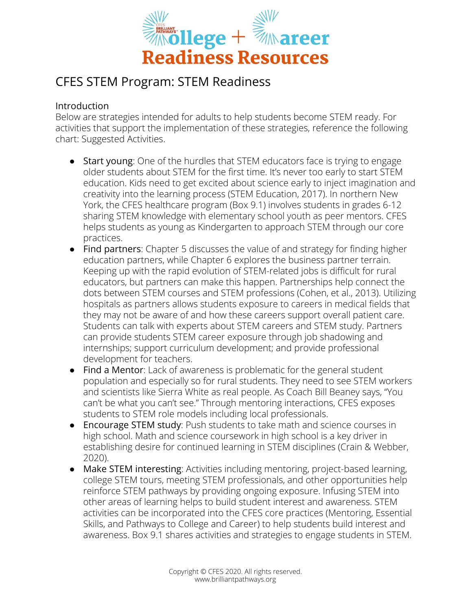

## CFES STEM Program: STEM Readiness

## Introduction

Below are strategies intended for adults to help students become STEM ready. For activities that support the implementation of these strategies, reference the following chart: Suggested Activities.

- Start young: One of the hurdles that STEM educators face is trying to engage older students about STEM for the first time. It's never too early to start STEM education. Kids need to get excited about science early to inject imagination and creativity into the learning process (STEM Education, 2017). In northern New York, the CFES healthcare program (Box 9.1) involves students in grades 6-12 sharing STEM knowledge with elementary school youth as peer mentors. CFES helps students as young as Kindergarten to approach STEM through our core practices.
- Find partners: Chapter 5 discusses the value of and strategy for finding higher education partners, while Chapter 6 explores the business partner terrain. Keeping up with the rapid evolution of STEM-related jobs is difficult for rural educators, but partners can make this happen. Partnerships help connect the dots between STEM courses and STEM professions (Cohen, et al., 2013). Utilizing hospitals as partners allows students exposure to careers in medical fields that they may not be aware of and how these careers support overall patient care. Students can talk with experts about STEM careers and STEM study. Partners can provide students STEM career exposure through job shadowing and internships; support curriculum development; and provide professional development for teachers.
- Find a Mentor: Lack of awareness is problematic for the general student population and especially so for rural students. They need to see STEM workers and scientists like Sierra White as real people. As Coach Bill Beaney says, "You can't be what you can't see." Through mentoring interactions, CFES exposes students to STEM role models including local professionals.
- Encourage STEM study: Push students to take math and science courses in high school. Math and science coursework in high school is a key driver in establishing desire for continued learning in STEM disciplines (Crain & Webber, 2020).
- Make STEM interesting: Activities including mentoring, project-based learning, college STEM tours, meeting STEM professionals, and other opportunities help reinforce STEM pathways by providing ongoing exposure. Infusing STEM into other areas of learning helps to build student interest and awareness. STEM activities can be incorporated into the CFES core practices (Mentoring, Essential Skills, and Pathways to College and Career) to help students build interest and awareness. Box 9.1 shares activities and strategies to engage students in STEM.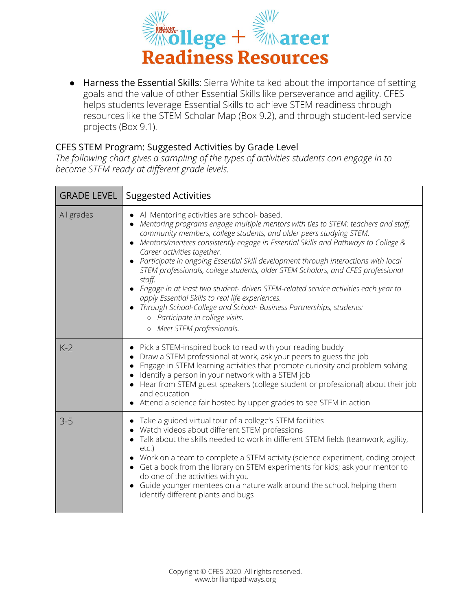

● Harness the Essential Skills: Sierra White talked about the importance of setting goals and the value of other Essential Skills like perseverance and agility. CFES helps students leverage Essential Skills to achieve STEM readiness through resources like the STEM Scholar Map (Box 9.2), and through student-led service projects (Box 9.1).

## CFES STEM Program: Suggested Activities by Grade Level

*The following chart gives a sampling of the types of activities students can engage in to become STEM ready at different grade levels.*

| <b>GRADE LEVEL</b> | <b>Suggested Activities</b>                                                                                                                                                                                                                                                                                                                                                                                                                                                                                                                                                                                                                                                                                                                                                                                          |
|--------------------|----------------------------------------------------------------------------------------------------------------------------------------------------------------------------------------------------------------------------------------------------------------------------------------------------------------------------------------------------------------------------------------------------------------------------------------------------------------------------------------------------------------------------------------------------------------------------------------------------------------------------------------------------------------------------------------------------------------------------------------------------------------------------------------------------------------------|
| All grades         | All Mentoring activities are school- based.<br>$\bullet$<br>Mentoring programs engage multiple mentors with ties to STEM: teachers and staff,<br>community members, college students, and older peers studying STEM.<br>Mentors/mentees consistently engage in Essential Skills and Pathways to College &<br>Career activities together.<br>• Participate in ongoing Essential Skill development through interactions with local<br>STEM professionals, college students, older STEM Scholars, and CFES professional<br>staff.<br>• Engage in at least two student- driven STEM-related service activities each year to<br>apply Essential Skills to real life experiences.<br>Through School-College and School- Business Partnerships, students:<br>o Participate in college visits.<br>o Meet STEM professionals. |
| $K-2$              | Pick a STEM-inspired book to read with your reading buddy<br>Draw a STEM professional at work, ask your peers to guess the job<br>Engage in STEM learning activities that promote curiosity and problem solving<br>Identify a person in your network with a STEM job<br>• Hear from STEM guest speakers (college student or professional) about their job<br>and education<br>• Attend a science fair hosted by upper grades to see STEM in action                                                                                                                                                                                                                                                                                                                                                                   |
| $3 - 5$            | Take a guided virtual tour of a college's STEM facilities<br>Watch videos about different STEM professions<br>Talk about the skills needed to work in different STEM fields (teamwork, agility,<br>$etc.$ )<br>• Work on a team to complete a STEM activity (science experiment, coding project<br>• Get a book from the library on STEM experiments for kids; ask your mentor to<br>do one of the activities with you<br>Guide younger mentees on a nature walk around the school, helping them<br>identify different plants and bugs                                                                                                                                                                                                                                                                               |